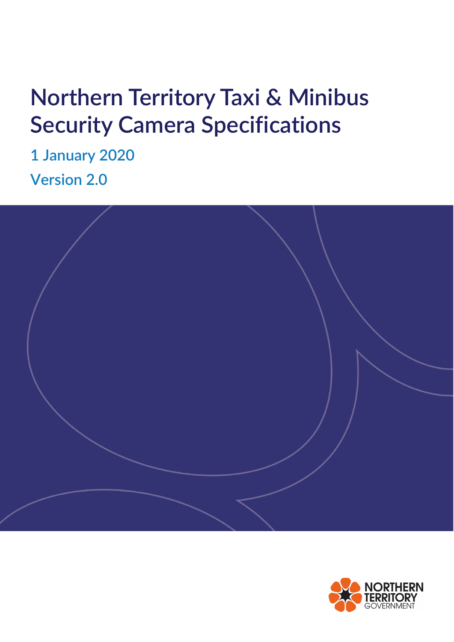# **Northern Territory Taxi & Minibus Security Camera Specifications**

**1 January 2020 Version 2.0**



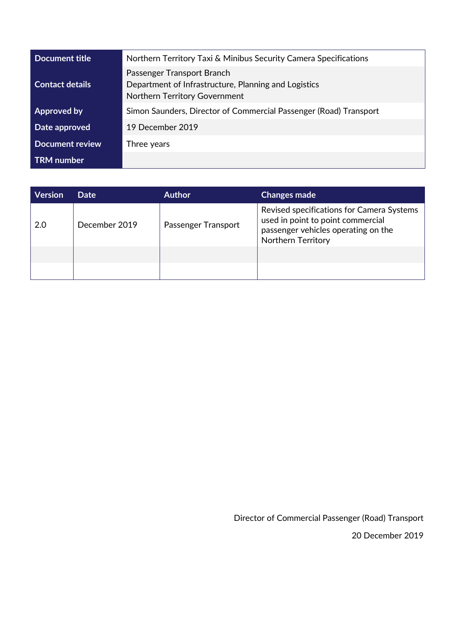| Document title         | Northern Territory Taxi & Minibus Security Camera Specifications                                                    |
|------------------------|---------------------------------------------------------------------------------------------------------------------|
| <b>Contact details</b> | Passenger Transport Branch<br>Department of Infrastructure, Planning and Logistics<br>Northern Territory Government |
| <b>Approved by</b>     | Simon Saunders, Director of Commercial Passenger (Road) Transport                                                   |
| Date approved          | 19 December 2019                                                                                                    |
| <b>Document review</b> | Three years                                                                                                         |
| <b>TRM</b> number      |                                                                                                                     |

| Date          | <b>Author</b>       | <b>Changes made</b>                                                                                                                         |
|---------------|---------------------|---------------------------------------------------------------------------------------------------------------------------------------------|
| December 2019 | Passenger Transport | Revised specifications for Camera Systems<br>used in point to point commercial<br>passenger vehicles operating on the<br>Northern Territory |
|               |                     |                                                                                                                                             |
|               |                     |                                                                                                                                             |

Director of Commercial Passenger (Road) Transport

20 December 2019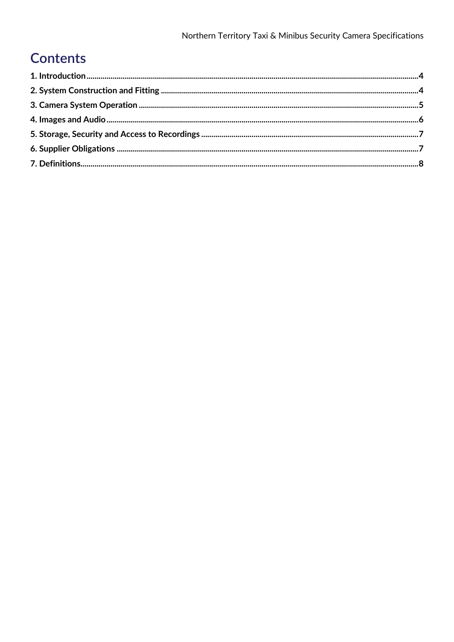# **Contents**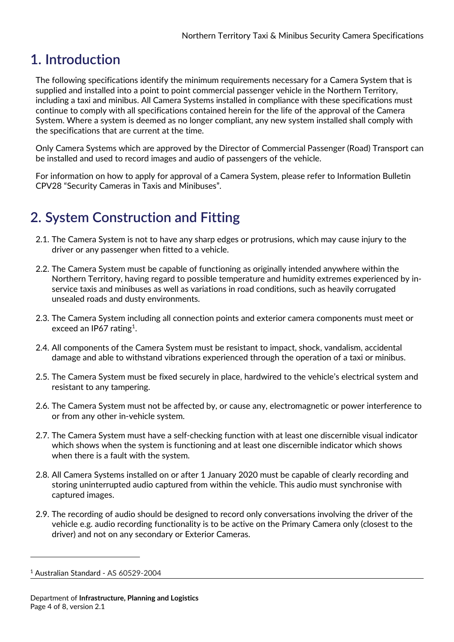#### <span id="page-3-0"></span>**1. Introduction**

The following specifications identify the minimum requirements necessary for a Camera System that is supplied and installed into a point to point commercial passenger vehicle in the Northern Territory, including a taxi and minibus. All Camera Systems installed in compliance with these specifications must continue to comply with all specifications contained herein for the life of the approval of the Camera System. Where a system is deemed as no longer compliant, any new system installed shall comply with the specifications that are current at the time.

Only Camera Systems which are approved by the Director of Commercial Passenger (Road) Transport can be installed and used to record images and audio of passengers of the vehicle.

For information on how to apply for approval of a Camera System, please refer to Information Bulletin CPV28 "Security Cameras in Taxis and Minibuses".

# <span id="page-3-1"></span>**2. System Construction and Fitting**

- 2.1. The Camera System is not to have any sharp edges or protrusions, which may cause injury to the driver or any passenger when fitted to a vehicle.
- 2.2. The Camera System must be capable of functioning as originally intended anywhere within the Northern Territory, having regard to possible temperature and humidity extremes experienced by inservice taxis and minibuses as well as variations in road conditions, such as heavily corrugated unsealed roads and dusty environments.
- 2.3. The Camera System including all connection points and exterior camera components must meet or exceed an IP67 rating<sup>[1](#page-3-2)</sup>.
- 2.4. All components of the Camera System must be resistant to impact, shock, vandalism, accidental damage and able to withstand vibrations experienced through the operation of a taxi or minibus.
- 2.5. The Camera System must be fixed securely in place, hardwired to the vehicle's electrical system and resistant to any tampering.
- 2.6. The Camera System must not be affected by, or cause any, electromagnetic or power interference to or from any other in-vehicle system.
- 2.7. The Camera System must have a self-checking function with at least one discernible visual indicator which shows when the system is functioning and at least one discernible indicator which shows when there is a fault with the system.
- 2.8. All Camera Systems installed on or after 1 January 2020 must be capable of clearly recording and storing uninterrupted audio captured from within the vehicle. This audio must synchronise with captured images.
- 2.9. The recording of audio should be designed to record only conversations involving the driver of the vehicle e.g. audio recording functionality is to be active on the Primary Camera only (closest to the driver) and not on any secondary or Exterior Cameras.

-

<span id="page-3-2"></span><sup>1</sup> Australian Standard - AS 60529-2004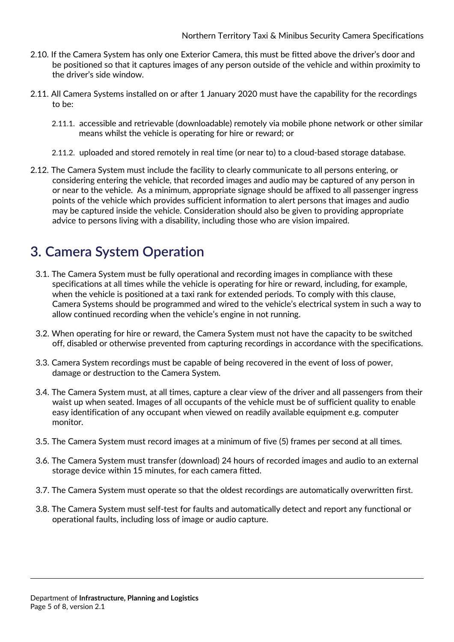- 2.10. If the Camera System has only one Exterior Camera, this must be fitted above the driver's door and be positioned so that it captures images of any person outside of the vehicle and within proximity to the driver's side window.
- 2.11. All Camera Systems installed on or after 1 January 2020 must have the capability for the recordings to be:
	- 2.11.1. accessible and retrievable (downloadable) remotely via mobile phone network or other similar means whilst the vehicle is operating for hire or reward; or
	- 2.11.2. uploaded and stored remotely in real time (or near to) to a cloud-based storage database.
- 2.12. The Camera System must include the facility to clearly communicate to all persons entering, or considering entering the vehicle, that recorded images and audio may be captured of any person in or near to the vehicle. As a minimum, appropriate signage should be affixed to all passenger ingress points of the vehicle which provides sufficient information to alert persons that images and audio may be captured inside the vehicle. Consideration should also be given to providing appropriate advice to persons living with a disability, including those who are vision impaired.

#### <span id="page-4-0"></span>**3. Camera System Operation**

- 3.1. The Camera System must be fully operational and recording images in compliance with these specifications at all times while the vehicle is operating for hire or reward, including, for example, when the vehicle is positioned at a taxi rank for extended periods. To comply with this clause, Camera Systems should be programmed and wired to the vehicle's electrical system in such a way to allow continued recording when the vehicle's engine in not running.
- 3.2. When operating for hire or reward, the Camera System must not have the capacity to be switched off, disabled or otherwise prevented from capturing recordings in accordance with the specifications.
- 3.3. Camera System recordings must be capable of being recovered in the event of loss of power, damage or destruction to the Camera System.
- 3.4. The Camera System must, at all times, capture a clear view of the driver and all passengers from their waist up when seated. Images of all occupants of the vehicle must be of sufficient quality to enable easy identification of any occupant when viewed on readily available equipment e.g. computer monitor.
- 3.5. The Camera System must record images at a minimum of five (5) frames per second at all times.
- 3.6. The Camera System must transfer (download) 24 hours of recorded images and audio to an external storage device within 15 minutes, for each camera fitted.
- 3.7. The Camera System must operate so that the oldest recordings are automatically overwritten first.
- 3.8. The Camera System must self-test for faults and automatically detect and report any functional or operational faults, including loss of image or audio capture.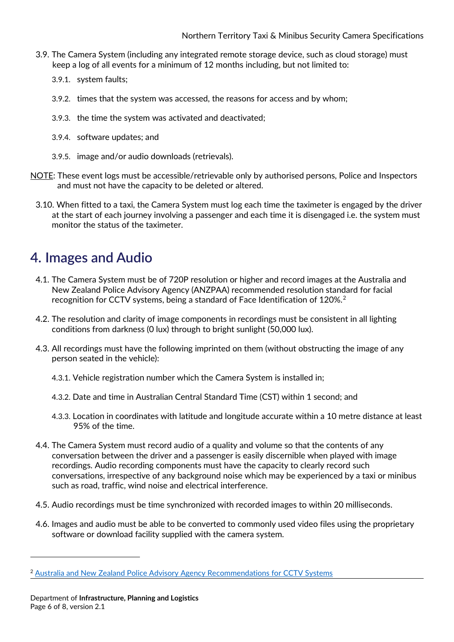- 3.9. The Camera System (including any integrated remote storage device, such as cloud storage) must keep a log of all events for a minimum of 12 months including, but not limited to:
	- 3.9.1. system faults;
	- 3.9.2. times that the system was accessed, the reasons for access and by whom;
	- 3.9.3. the time the system was activated and deactivated;
	- 3.9.4. software updates; and
	- 3.9.5. image and/or audio downloads (retrievals).
- NOTE: These event logs must be accessible/retrievable only by authorised persons, Police and Inspectors and must not have the capacity to be deleted or altered.
	- 3.10. When fitted to a taxi, the Camera System must log each time the taximeter is engaged by the driver at the start of each journey involving a passenger and each time it is disengaged i.e. the system must monitor the status of the taximeter.

#### <span id="page-5-0"></span>**4. Images and Audio**

- 4.1. The Camera System must be of 720P resolution or higher and record images at the Australia and New Zealand Police Advisory Agency (ANZPAA) recommended resolution standard for facial recognition for CCTV systems, being a standard of Face Identification of 1[2](#page-5-1)0%.<sup>2</sup>
- 4.2. The resolution and clarity of image components in recordings must be consistent in all lighting conditions from darkness (0 lux) through to bright sunlight (50,000 lux).
- 4.3. All recordings must have the following imprinted on them (without obstructing the image of any person seated in the vehicle):
	- 4.3.1. Vehicle registration number which the Camera System is installed in;
	- 4.3.2. Date and time in Australian Central Standard Time (CST) within 1 second; and
	- 4.3.3. Location in coordinates with latitude and longitude accurate within a 10 metre distance at least 95% of the time.
- 4.4. The Camera System must record audio of a quality and volume so that the contents of any conversation between the driver and a passenger is easily discernible when played with image recordings. Audio recording components must have the capacity to clearly record such conversations, irrespective of any background noise which may be experienced by a taxi or minibus such as road, traffic, wind noise and electrical interference.
- 4.5. Audio recordings must be time synchronized with recorded images to within 20 milliseconds.
- 4.6. Images and audio must be able to be converted to commonly used video files using the proprietary software or download facility supplied with the camera system.

-

<span id="page-5-1"></span><sup>2</sup> [Australia and New Zealand Police Advisory Agency Recommendations for CCTV Systems](http://www.anzpaa.org.au/publications/general/police-recommendations-for-cctv-systems)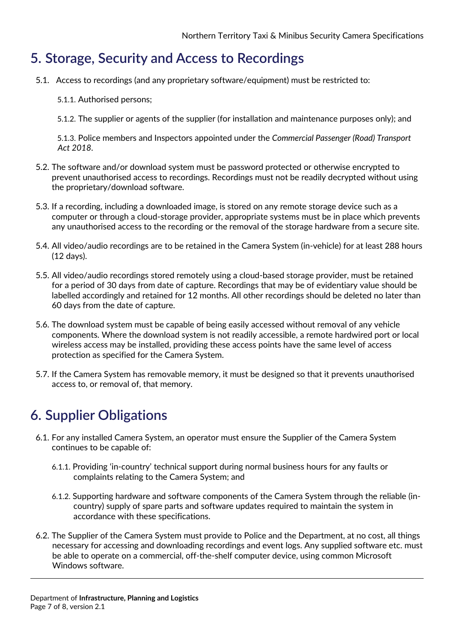#### <span id="page-6-0"></span>**5. Storage, Security and Access to Recordings**

- 5.1. Access to recordings (and any proprietary software/equipment) must be restricted to:
	- 5.1.1. Authorised persons;
	- 5.1.2. The supplier or agents of the supplier (for installation and maintenance purposes only); and

5.1.3. Police members and Inspectors appointed under the *Commercial Passenger (Road) Transport Act 2018*.

- 5.2. The software and/or download system must be password protected or otherwise encrypted to prevent unauthorised access to recordings. Recordings must not be readily decrypted without using the proprietary/download software.
- 5.3. If a recording, including a downloaded image, is stored on any remote storage device such as a computer or through a cloud-storage provider, appropriate systems must be in place which prevents any unauthorised access to the recording or the removal of the storage hardware from a secure site.
- 5.4. All video/audio recordings are to be retained in the Camera System (in-vehicle) for at least 288 hours (12 days).
- 5.5. All video/audio recordings stored remotely using a cloud-based storage provider, must be retained for a period of 30 days from date of capture. Recordings that may be of evidentiary value should be labelled accordingly and retained for 12 months. All other recordings should be deleted no later than 60 days from the date of capture.
- 5.6. The download system must be capable of being easily accessed without removal of any vehicle components. Where the download system is not readily accessible, a remote hardwired port or local wireless access may be installed, providing these access points have the same level of access protection as specified for the Camera System.
- 5.7. If the Camera System has removable memory, it must be designed so that it prevents unauthorised access to, or removal of, that memory.

### <span id="page-6-1"></span>**6. Supplier Obligations**

- 6.1. For any installed Camera System, an operator must ensure the Supplier of the Camera System continues to be capable of:
	- 6.1.1. Providing 'in-country' technical support during normal business hours for any faults or complaints relating to the Camera System; and
	- 6.1.2. Supporting hardware and software components of the Camera System through the reliable (incountry) supply of spare parts and software updates required to maintain the system in accordance with these specifications.
- 6.2. The Supplier of the Camera System must provide to Police and the Department, at no cost, all things necessary for accessing and downloading recordings and event logs. Any supplied software etc. must be able to operate on a commercial, off-the-shelf computer device, using common Microsoft Windows software.